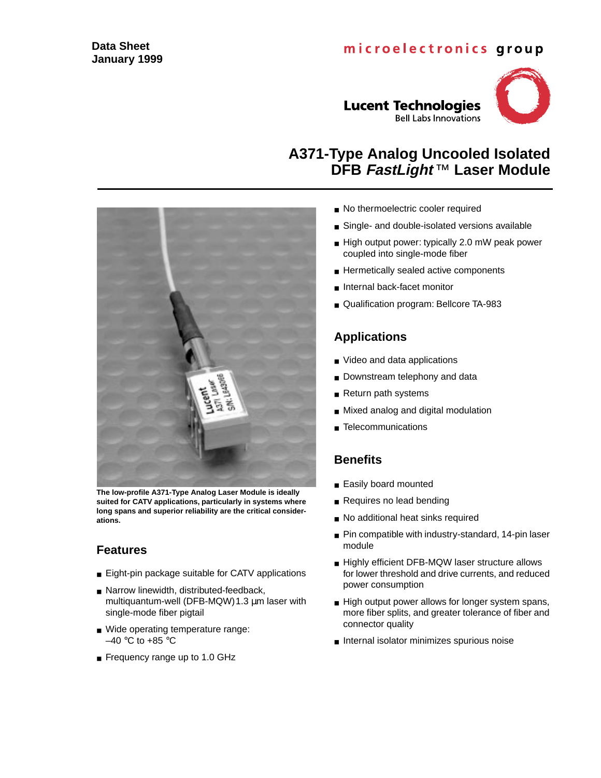### **Data Sheet January 1999**

# microelectronics group



**The low-profile A371-Type Analog Laser Module is ideally suited for CATV applications, particularly in systems where long spans and superior reliability are the critical considerations.**

### **Features**

- Eight-pin package suitable for CATV applications
- Narrow linewidth, distributed-feedback, multiquantum-well (DFB-MQW)1.3 µm laser with single-mode fiber pigtail
- Wide operating temperature range:  $-40$  °C to +85 °C
- Frequency range up to 1.0 GHz

**A371-Type Analog Uncooled Isolated**

**Lucent Technologies** 

- No thermoelectric cooler required
- Single- and double-isolated versions available
- High output power: typically 2.0 mW peak power coupled into single-mode fiber

**DFB FastLight** ™ **Laser Module**

**Bell Labs Innovations** 

- Hermetically sealed active components
- Internal back-facet monitor
- Qualification program: Bellcore TA-983

## **Applications**

- Video and data applications
- Downstream telephony and data
- Return path systems
- Mixed analog and digital modulation
- Telecommunications

### **Benefits**

- Easily board mounted
- Requires no lead bending
- No additional heat sinks required
- Pin compatible with industry-standard, 14-pin laser module
- Highly efficient DFB-MQW laser structure allows for lower threshold and drive currents, and reduced power consumption
- High output power allows for longer system spans, more fiber splits, and greater tolerance of fiber and connector quality
- Internal isolator minimizes spurious noise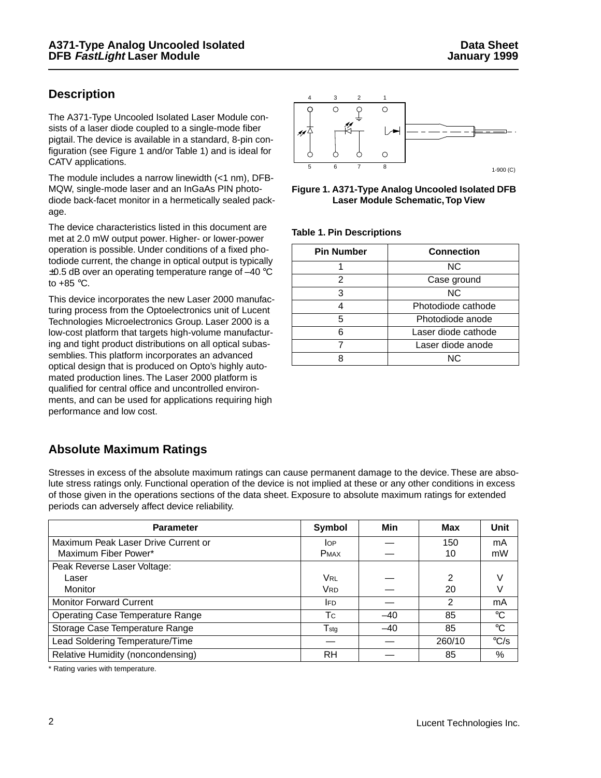### **Description**

The A371-Type Uncooled Isolated Laser Module consists of a laser diode coupled to a single-mode fiber pigtail. The device is available in a standard, 8-pin configuration (see Figure 1 and/or Table 1) and is ideal for CATV applications.

The module includes a narrow linewidth (<1 nm), DFB-MQW, single-mode laser and an InGaAs PIN photodiode back-facet monitor in a hermetically sealed package.

The device characteristics listed in this document are met at 2.0 mW output power. Higher- or lower-power operation is possible. Under conditions of a fixed photodiode current, the change in optical output is typically  $\pm 0.5$  dB over an operating temperature range of  $-40$  °C to  $+85$  °C.

This device incorporates the new Laser 2000 manufacturing process from the Optoelectronics unit of Lucent Technologies Microelectronics Group. Laser 2000 is a low-cost platform that targets high-volume manufacturing and tight product distributions on all optical subassemblies. This platform incorporates an advanced optical design that is produced on Opto's highly automated production lines. The Laser 2000 platform is qualified for central office and uncontrolled environments, and can be used for applications requiring high performance and low cost.





**Table 1. Pin Descriptions**

| <b>Pin Number</b> | <b>Connection</b>   |
|-------------------|---------------------|
|                   | ΝC                  |
| 2                 | Case ground         |
| 3                 | ΝC                  |
|                   | Photodiode cathode  |
| 5                 | Photodiode anode    |
| 6                 | Laser diode cathode |
|                   | Laser diode anode   |
|                   | NC.                 |

### **Absolute Maximum Ratings**

Stresses in excess of the absolute maximum ratings can cause permanent damage to the device. These are absolute stress ratings only. Functional operation of the device is not implied at these or any other conditions in excess of those given in the operations sections of the data sheet. Exposure to absolute maximum ratings for extended periods can adversely affect device reliability.

| <b>Parameter</b>                        | Symbol           | Min   | Max    | Unit           |
|-----------------------------------------|------------------|-------|--------|----------------|
| Maximum Peak Laser Drive Current or     | <b>I</b> OP      |       | 150    | mA             |
| Maximum Fiber Power*                    | <b>PMAX</b>      |       | 10     | mW             |
| Peak Reverse Laser Voltage:             |                  |       |        |                |
| Laser                                   | <b>VRL</b>       |       | 2      | V              |
| <b>Monitor</b>                          | <b>VRD</b>       |       | 20     |                |
| <b>Monitor Forward Current</b>          | <b>IFD</b>       |       | 2      | mA             |
| <b>Operating Case Temperature Range</b> | <b>T</b> c       | $-40$ | 85     | $^{\circ}C$    |
| Storage Case Temperature Range          | $T_{\text{stg}}$ | $-40$ | 85     | $^{\circ}C$    |
| Lead Soldering Temperature/Time         |                  |       | 260/10 | $\mathrm{C/S}$ |
| Relative Humidity (noncondensing)       | <b>RH</b>        |       | 85     | %              |

\* Rating varies with temperature.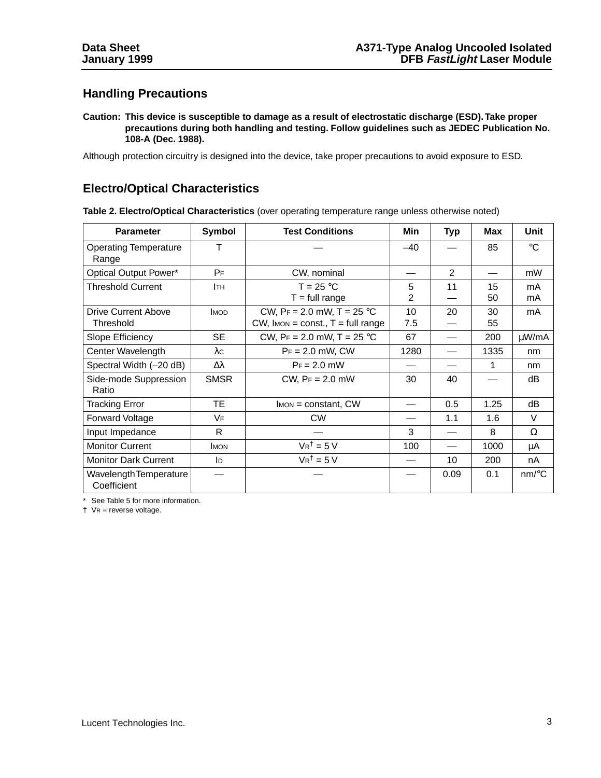### **Handling Precautions**

**Caution: This device is susceptible to damage as a result of electrostatic discharge (ESD). Take proper precautions during both handling and testing. Follow guidelines such as JEDEC Publication No. 108-A (Dec. 1988).**

Although protection circuitry is designed into the device, take proper precautions to avoid exposure to ESD.

### **Electro/Optical Characteristics**

| <b>Parameter</b>                        | <b>Symbol</b> | <b>Test Conditions</b>                                                 | Min       | <b>Typ</b>     | <b>Max</b> | Unit                |
|-----------------------------------------|---------------|------------------------------------------------------------------------|-----------|----------------|------------|---------------------|
| <b>Operating Temperature</b><br>Range   | т             |                                                                        | $-40$     |                | 85         | $^{\circ}C$         |
| Optical Output Power*                   | $P_F$         | CW, nominal                                                            |           | $\mathfrak{p}$ |            | mW                  |
| <b>Threshold Current</b>                | Iтн           | $T = 25 °C$<br>$T = full range$                                        | 5<br>2    | 11             | 15<br>50   | mA<br>mA            |
| <b>Drive Current Above</b><br>Threshold | <b>IMOD</b>   | CW, $Pr = 2.0$ mW, T = 25 °C<br>$CW$ , Imon = const., $T = full range$ | 10<br>7.5 | 20             | 30<br>55   | mA                  |
| Slope Efficiency                        | <b>SE</b>     | CW, $Pr = 2.0$ mW, $T = 25$ °C                                         | 67        |                | 200        | μW/mA               |
| Center Wavelength                       | $\lambda c$   | $Pr = 2.0$ mW, CW                                                      | 1280      |                | 1335       | nm                  |
| Spectral Width (-20 dB)                 | Δλ            | $Pr = 2.0$ mW                                                          |           |                | 1          | nm                  |
| Side-mode Suppression<br>Ratio          | <b>SMSR</b>   | CW, $Pr = 2.0$ mW                                                      | 30        | 40             |            | dB                  |
| <b>Tracking Error</b>                   | <b>TE</b>     | $I_{MON} = constant, CW$                                               |           | 0.5            | 1.25       | dB                  |
| Forward Voltage                         | VF            | <b>CW</b>                                                              |           | 1.1            | 1.6        | $\vee$              |
| Input Impedance                         | R             |                                                                        | 3         |                | 8          | Ω                   |
| <b>Monitor Current</b>                  | <b>IMON</b>   | $V R^{\dagger} = 5 V$                                                  | 100       |                | 1000       | μA                  |
| <b>Monitor Dark Current</b>             | ID            | $V_R^{\dagger} = 5 V$                                                  |           | 10             | 200        | nA                  |
| Wavelength Temperature<br>Coefficient   |               |                                                                        |           | 0.09           | 0.1        | $nm$ <sup>o</sup> C |

**Table 2. Electro/Optical Characteristics** (over operating temperature range unless otherwise noted)

\* See Table 5 for more information.

† VR = reverse voltage.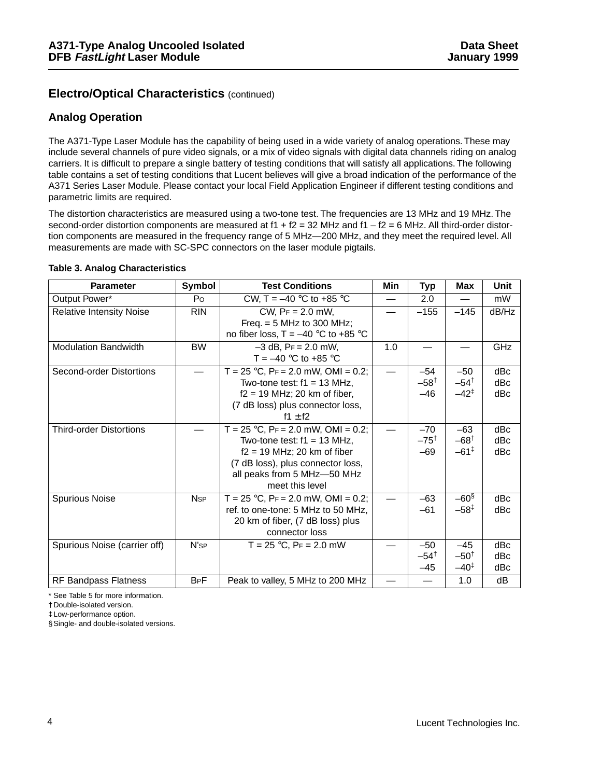### **Electro/Optical Characteristics** (continued)

#### **Analog Operation**

The A371-Type Laser Module has the capability of being used in a wide variety of analog operations. These may include several channels of pure video signals, or a mix of video signals with digital data channels riding on analog carriers. It is difficult to prepare a single battery of testing conditions that will satisfy all applications. The following table contains a set of testing conditions that Lucent believes will give a broad indication of the performance of the A371 Series Laser Module. Please contact your local Field Application Engineer if different testing conditions and parametric limits are required.

The distortion characteristics are measured using a two-tone test. The frequencies are 13 MHz and 19 MHz. The second-order distortion components are measured at  $f1 + f2 = 32$  MHz and  $f1 - f2 = 6$  MHz. All third-order distortion components are measured in the frequency range of 5 MHz—200 MHz, and they meet the required level. All measurements are made with SC-SPC connectors on the laser module pigtails.

| <b>Parameter</b>                | Symbol                 | <b>Test Conditions</b>                                                                                                                                                                           | Min | Typ                               | Max                                          | Unit              |
|---------------------------------|------------------------|--------------------------------------------------------------------------------------------------------------------------------------------------------------------------------------------------|-----|-----------------------------------|----------------------------------------------|-------------------|
| Output Power*                   | Po                     | CW, T = $-40$ °C to +85 °C                                                                                                                                                                       |     | 2.0                               |                                              | mW                |
| <b>Relative Intensity Noise</b> | <b>RIN</b>             | $CW$ , $Pr = 2.0$ mW,<br>Freq. $= 5$ MHz to 300 MHz;<br>no fiber loss, $T = -40$ °C to +85 °C                                                                                                    |     | $-155$                            | $-145$                                       | dB/Hz             |
| <b>Modulation Bandwidth</b>     | <b>BW</b>              | $-3$ dB, $Pr = 2.0$ mW,<br>T = $-40$ °C to +85 °C                                                                                                                                                | 1.0 |                                   |                                              | GHz               |
| Second-order Distortions        |                        | $T = 25$ °C, PF = 2.0 mW, OMI = 0.2;<br>Two-tone test: $f1 = 13$ MHz.<br>$f2 = 19$ MHz; 20 km of fiber,<br>(7 dB loss) plus connector loss,<br>f1 $\pm$ f2                                       |     | $-54$<br>$-58^{\dagger}$<br>$-46$ | $-50$<br>$-54^{\dagger}$<br>$-42^{\ddagger}$ | dBc<br>dBc<br>dBc |
| <b>Third-order Distortions</b>  |                        | T = $25 °C$ , PF = $2.0$ mW, OMI = 0.2;<br>Two-tone test: $f1 = 13$ MHz.<br>$f2 = 19$ MHz; 20 km of fiber<br>(7 dB loss), plus connector loss,<br>all peaks from 5 MHz-50 MHz<br>meet this level |     | $-70$<br>$-75^{\dagger}$<br>$-69$ | $-63$<br>$-68^{\dagger}$<br>$-61^{\ddagger}$ | dBc<br>dBc<br>dBc |
| <b>Spurious Noise</b>           | <b>N</b> <sub>sp</sub> | $T = 25$ °C, PF = 2.0 mW, OMI = 0.2;<br>ref. to one-tone: 5 MHz to 50 MHz,<br>20 km of fiber, (7 dB loss) plus<br>connector loss                                                                 |     | $-63$<br>$-61$                    | $-60§$<br>$-58^{\ddagger}$                   | dBc<br>dBc        |
| Spurious Noise (carrier off)    | N's <sub>P</sub>       | $T = 25$ °C, $Pr = 2.0$ mW                                                                                                                                                                       |     | $-50$<br>$-54^{\dagger}$<br>$-45$ | $-45$<br>$-50^{\dagger}$<br>$-40^{\ddagger}$ | dBc<br>dBc<br>dBc |
| RF Bandpass Flatness            | <b>B<sub>P</sub>F</b>  | Peak to valley, 5 MHz to 200 MHz                                                                                                                                                                 |     |                                   | 1.0                                          | dB                |

#### **Table 3. Analog Characteristics**

\* See Table 5 for more information.

†Double-isolated version.

‡Low-performance option.

§Single- and double-isolated versions.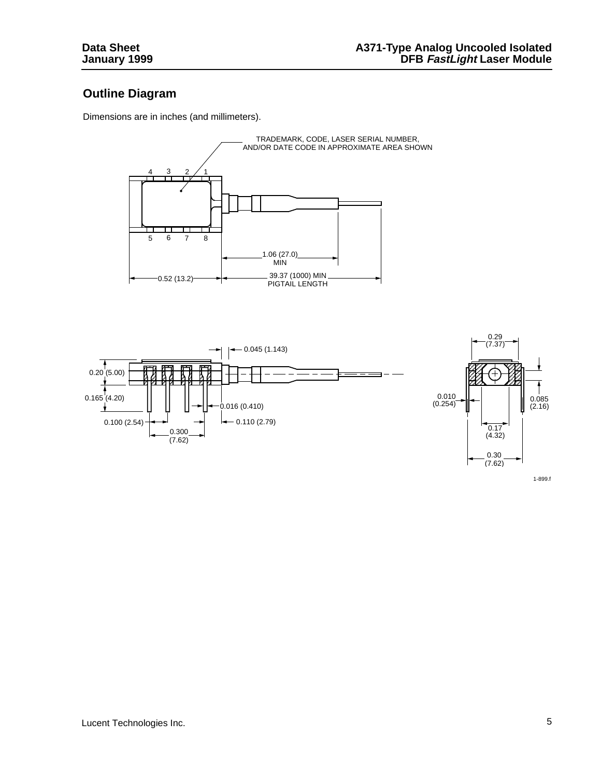## **Outline Diagram**

Dimensions are in inches (and millimeters).





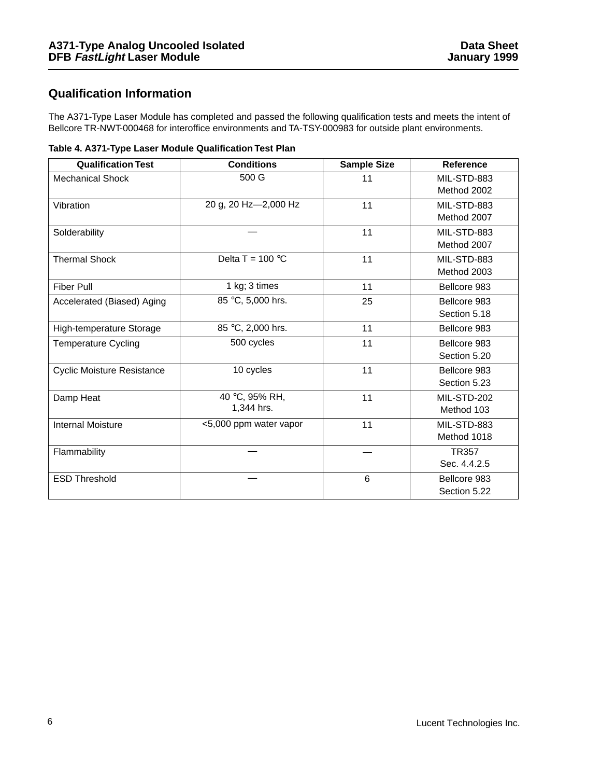## **Qualification Information**

The A371-Type Laser Module has completed and passed the following qualification tests and meets the intent of Bellcore TR-NWT-000468 for interoffice environments and TA-TSY-000983 for outside plant environments.

|  | Table 4. A371-Type Laser Module Qualification Test Plan |  |  |  |
|--|---------------------------------------------------------|--|--|--|
|--|---------------------------------------------------------|--|--|--|

| <b>Qualification Test</b>         | <b>Conditions</b>            | <b>Sample Size</b> | <b>Reference</b>             |
|-----------------------------------|------------------------------|--------------------|------------------------------|
| <b>Mechanical Shock</b>           | 500 G                        | 11                 | MIL-STD-883<br>Method 2002   |
| Vibration                         | 20 g, 20 Hz-2,000 Hz         | 11                 | MIL-STD-883<br>Method 2007   |
| Solderability                     |                              | 11                 | MIL-STD-883<br>Method 2007   |
| <b>Thermal Shock</b>              | Delta T = $100 °C$           | 11                 | MIL-STD-883<br>Method 2003   |
| <b>Fiber Pull</b>                 | 1 kg; 3 times                | 11                 | Bellcore 983                 |
| Accelerated (Biased) Aging        | 85 °C, 5,000 hrs.            | 25                 | Bellcore 983<br>Section 5.18 |
| High-temperature Storage          | 85 °C, 2,000 hrs.            | 11                 | Bellcore 983                 |
| <b>Temperature Cycling</b>        | 500 cycles                   | 11                 | Bellcore 983<br>Section 5.20 |
| <b>Cyclic Moisture Resistance</b> | 10 cycles                    | 11                 | Bellcore 983<br>Section 5.23 |
| Damp Heat                         | 40 °C, 95% RH,<br>1,344 hrs. | 11                 | MIL-STD-202<br>Method 103    |
| <b>Internal Moisture</b>          | <5,000 ppm water vapor       | 11                 | MIL-STD-883<br>Method 1018   |
| Flammability                      |                              |                    | <b>TR357</b><br>Sec. 4.4.2.5 |
| <b>ESD Threshold</b>              |                              | 6                  | Bellcore 983<br>Section 5.22 |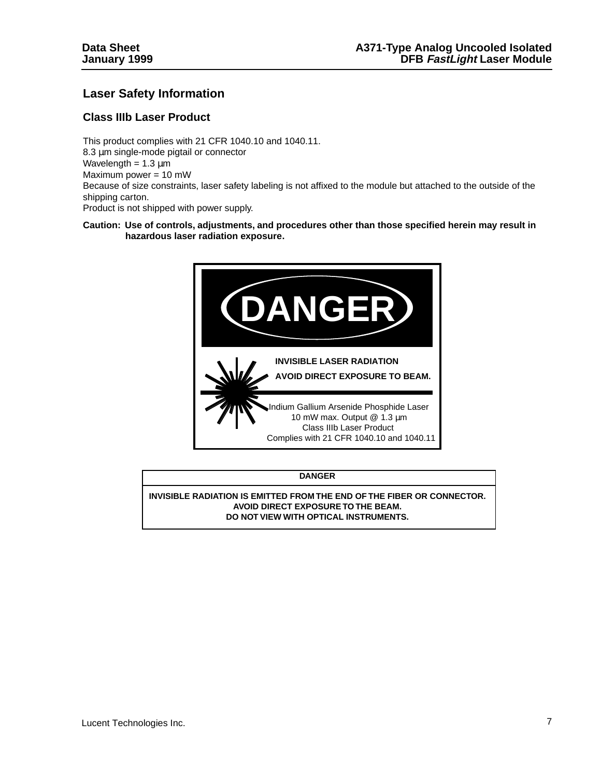### **Laser Safety Information**

#### **Class IIIb Laser Product**

This product complies with 21 CFR 1040.10 and 1040.11. 8.3 µm single-mode pigtail or connector Wavelength =  $1.3 \mu m$ Maximum power = 10 mW Because of size constraints, laser safety labeling is not affixed to the module but attached to the outside of the shipping carton. Product is not shipped with power supply.

#### **Caution: Use of controls, adjustments, and procedures other than those specified herein may result in hazardous laser radiation exposure.**



| <b>DANGER</b>                                                          |
|------------------------------------------------------------------------|
| INVISIBLE RADIATION IS EMITTED FROM THE END OF THE FIBER OR CONNECTOR. |
| AVOID DIRECT EXPOSURE TO THE BEAM.                                     |
| DO NOT VIEW WITH OPTICAL INSTRUMENTS.                                  |
|                                                                        |